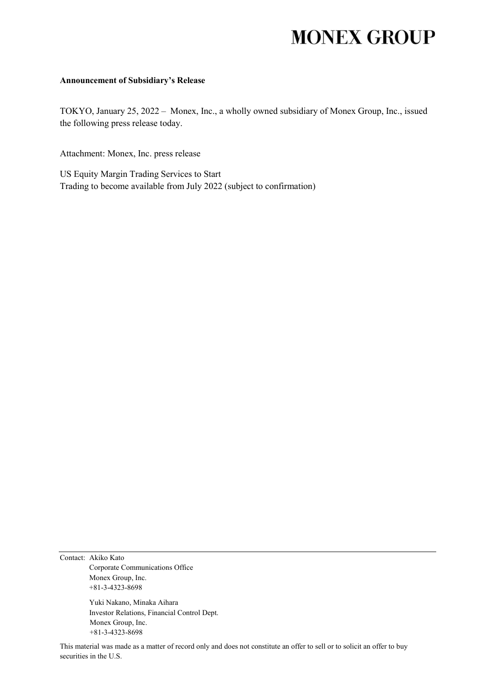# **MONEX GROUP**

### **Announcement of Subsidiary's Release**

TOKYO, January 25, 2022 – Monex, Inc., a wholly owned subsidiary of Monex Group, Inc., issued the following press release today.

Attachment: Monex, Inc. press release

US Equity Margin Trading Services to Start Trading to become available from July 2022 (subject to confirmation)

Contact: Akiko Kato Corporate Communications Office Monex Group, Inc. +81-3-4323-8698

> Yuki Nakano, Minaka Aihara Investor Relations, Financial Control Dept. Monex Group, Inc. +81-3-4323-8698

This material was made as a matter of record only and does not constitute an offer to sell or to solicit an offer to buy securities in the U.S.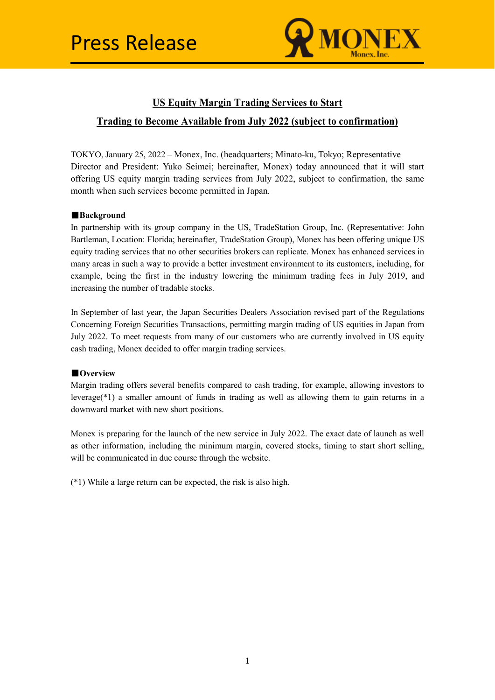

## **US Equity Margin Trading Services to Start**

## **Trading to Become Available from July 2022 (subject to confirmation)**

TOKYO, January 25, 2022 – Monex, Inc. (headquarters; Minato-ku, Tokyo; Representative Director and President: Yuko Seimei; hereinafter, Monex) today announced that it will start offering US equity margin trading services from July 2022, subject to confirmation, the same month when such services become permitted in Japan.

## ■**Background**

In partnership with its group company in the US, TradeStation Group, Inc. (Representative: John Bartleman, Location: Florida; hereinafter, TradeStation Group), Monex has been offering unique US equity trading services that no other securities brokers can replicate. Monex has enhanced services in many areas in such a way to provide a better investment environment to its customers, including, for example, being the first in the industry lowering the minimum trading fees in July 2019, and increasing the number of tradable stocks.

In September of last year, the Japan Securities Dealers Association revised part of the Regulations Concerning Foreign Securities Transactions, permitting margin trading of US equities in Japan from July 2022. To meet requests from many of our customers who are currently involved in US equity cash trading, Monex decided to offer margin trading services.

## ■**Overview**

Margin trading offers several benefits compared to cash trading, for example, allowing investors to leverage(\*1) a smaller amount of funds in trading as well as allowing them to gain returns in a downward market with new short positions.

Monex is preparing for the launch of the new service in July 2022. The exact date of launch as well as other information, including the minimum margin, covered stocks, timing to start short selling, will be communicated in due course through the website.

(\*1) While a large return can be expected, the risk is also high.